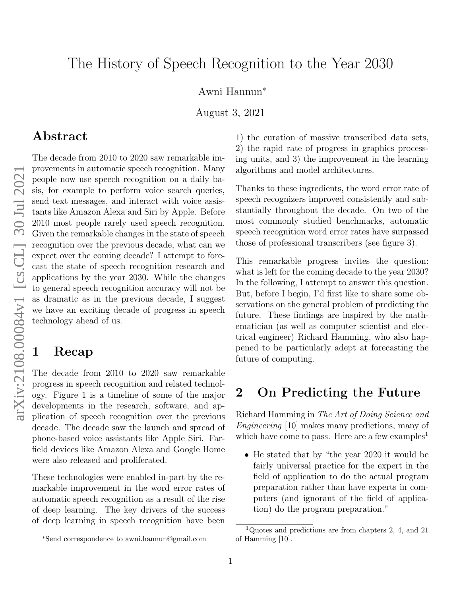# The History of Speech Recognition to the Year 2030

Awni Hannun<sup>∗</sup>

August 3, 2021

## Abstract

The decade from 2010 to 2020 saw remarkable improvements in automatic speech recognition. Many people now use speech recognition on a daily basis, for example to perform voice search queries, send text messages, and interact with voice assistants like Amazon Alexa and Siri by Apple. Before 2010 most people rarely used speech recognition. Given the remarkable changes in the state of speech recognition over the previous decade, what can we expect over the coming decade? I attempt to forecast the state of speech recognition research and applications by the year 2030. While the changes to general speech recognition accuracy will not be as dramatic as in the previous decade, I suggest we have an exciting decade of progress in speech technology ahead of us.

## 1 Recap

The decade from 2010 to 2020 saw remarkable progress in speech recognition and related technology. Figure [1](#page-1-0) is a timeline of some of the major developments in the research, software, and application of speech recognition over the previous decade. The decade saw the launch and spread of phone-based voice assistants like Apple Siri. Farfield devices like Amazon Alexa and Google Home were also released and proliferated.

These technologies were enabled in-part by the remarkable improvement in the word error rates of automatic speech recognition as a result of the rise of deep learning. The key drivers of the success of deep learning in speech recognition have been 1) the curation of massive transcribed data sets, 2) the rapid rate of progress in graphics processing units, and 3) the improvement in the learning algorithms and model architectures.

Thanks to these ingredients, the word error rate of speech recognizers improved consistently and substantially throughout the decade. On two of the most commonly studied benchmarks, automatic speech recognition word error rates have surpassed those of professional transcribers (see figure [3\)](#page-4-0).

This remarkable progress invites the question: what is left for the coming decade to the year 2030? In the following, I attempt to answer this question. But, before I begin, I'd first like to share some observations on the general problem of predicting the future. These findings are inspired by the mathematician (as well as computer scientist and electrical engineer) Richard Hamming, who also happened to be particularly adept at forecasting the future of computing.

## 2 On Predicting the Future

Richard Hamming in The Art of Doing Science and Engineering [\[10\]](#page-7-0) makes many predictions, many of which have come to pass. Here are a few examples<sup>[1](#page-0-0)</sup>

• He stated that by "the year 2020 it would be fairly universal practice for the expert in the field of application to do the actual program preparation rather than have experts in computers (and ignorant of the field of application) do the program preparation."

<sup>∗</sup>Send correspondence to [awni.hannun@gmail.com](mailto:awni.hannun@gmail.com)

<span id="page-0-0"></span><sup>&</sup>lt;sup>1</sup>Quotes and predictions are from chapters 2, 4, and 21 of Hamming [\[10\]](#page-7-0).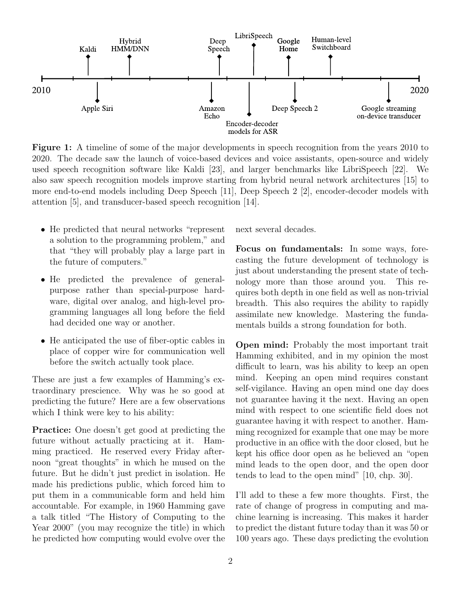<span id="page-1-0"></span>

Figure 1: A timeline of some of the major developments in speech recognition from the years 2010 to 2020. The decade saw the launch of voice-based devices and voice assistants, open-source and widely used speech recognition software like Kaldi [\[23\]](#page-8-0), and larger benchmarks like LibriSpeech [\[22\]](#page-8-1). We also saw speech recognition models improve starting from hybrid neural network architectures [\[15\]](#page-7-1) to more end-to-end models including Deep Speech [\[11\]](#page-7-2), Deep Speech 2 [\[2\]](#page-6-0), encoder-decoder models with attention [\[5\]](#page-7-3), and transducer-based speech recognition [\[14\]](#page-7-4).

- He predicted that neural networks "represent a solution to the programming problem," and that "they will probably play a large part in the future of computers."
- He predicted the prevalence of generalpurpose rather than special-purpose hardware, digital over analog, and high-level programming languages all long before the field had decided one way or another.
- He anticipated the use of fiber-optic cables in place of copper wire for communication well before the switch actually took place.

These are just a few examples of Hamming's extraordinary prescience. Why was he so good at predicting the future? Here are a few observations which I think were key to his ability:

Practice: One doesn't get good at predicting the future without actually practicing at it. Hamming practiced. He reserved every Friday afternoon "great thoughts" in which he mused on the future. But he didn't just predict in isolation. He made his predictions public, which forced him to put them in a communicable form and held him accountable. For example, in 1960 Hamming gave a talk titled "The History of Computing to the Year 2000" (you may recognize the title) in which he predicted how computing would evolve over the next several decades.

Focus on fundamentals: In some ways, forecasting the future development of technology is just about understanding the present state of technology more than those around you. This requires both depth in one field as well as non-trivial breadth. This also requires the ability to rapidly assimilate new knowledge. Mastering the fundamentals builds a strong foundation for both.

Open mind: Probably the most important trait Hamming exhibited, and in my opinion the most difficult to learn, was his ability to keep an open mind. Keeping an open mind requires constant self-vigilance. Having an open mind one day does not guarantee having it the next. Having an open mind with respect to one scientific field does not guarantee having it with respect to another. Hamming recognized for example that one may be more productive in an office with the door closed, but he kept his office door open as he believed an "open mind leads to the open door, and the open door tends to lead to the open mind" [\[10,](#page-7-0) chp. 30].

I'll add to these a few more thoughts. First, the rate of change of progress in computing and machine learning is increasing. This makes it harder to predict the distant future today than it was 50 or 100 years ago. These days predicting the evolution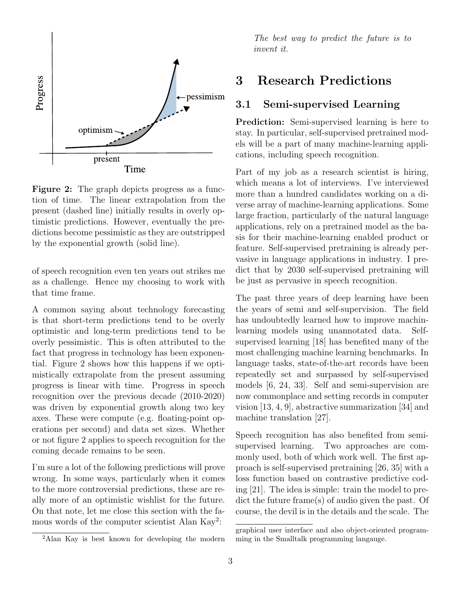<span id="page-2-0"></span>

Figure 2: The graph depicts progress as a function of time. The linear extrapolation from the present (dashed line) initially results in overly optimistic predictions. However, eventually the predictions become pessimistic as they are outstripped by the exponential growth (solid line).

of speech recognition even ten years out strikes me as a challenge. Hence my choosing to work with that time frame.

A common saying about technology forecasting is that short-term predictions tend to be overly optimistic and long-term predictions tend to be overly pessimistic. This is often attributed to the fact that progress in technology has been exponential. Figure [2](#page-2-0) shows how this happens if we optimistically extrapolate from the present assuming progress is linear with time. Progress in speech recognition over the previous decade (2010-2020) was driven by exponential growth along two key axes. These were compute (e.g. floating-point operations per second) and data set sizes. Whether or not figure [2](#page-2-0) applies to speech recognition for the coming decade remains to be seen.

I'm sure a lot of the following predictions will prove wrong. In some ways, particularly when it comes to the more controversial predictions, these are really more of an optimistic wishlist for the future. On that note, let me close this section with the fa-mous words of the computer scientist Alan Kay<sup>[2](#page-2-1)</sup>:

The best way to predict the future is to invent it.

## 3 Research Predictions

### 3.1 Semi-supervised Learning

Prediction: Semi-supervised learning is here to stay. In particular, self-supervised pretrained models will be a part of many machine-learning applications, including speech recognition.

Part of my job as a research scientist is hiring, which means a lot of interviews. I've interviewed more than a hundred candidates working on a diverse array of machine-learning applications. Some large fraction, particularly of the natural language applications, rely on a pretrained model as the basis for their machine-learning enabled product or feature. Self-supervised pretraining is already pervasive in language applications in industry. I predict that by 2030 self-supervised pretraining will be just as pervasive in speech recognition.

The past three years of deep learning have been the years of semi and self-supervision. The field has undoubtedly learned how to improve machinlearning models using unannotated data. Selfsupervised learning [\[18\]](#page-8-2) has benefited many of the most challenging machine learning benchmarks. In language tasks, state-of-the-art records have been repeatedly set and surpassed by self-supervised models [\[6,](#page-7-5) [24,](#page-8-3) [33\]](#page-9-0). Self and semi-supervision are now commonplace and setting records in computer vision [\[13,](#page-7-6) [4,](#page-7-7) [9\]](#page-7-8), abstractive summarization [\[34\]](#page-9-1) and machine translation [\[27\]](#page-8-4).

Speech recognition has also benefited from semisupervised learning. Two approaches are commonly used, both of which work well. The first approach is self-supervised pretraining [\[26,](#page-8-5) [35\]](#page-9-2) with a loss function based on contrastive predictive coding [\[21\]](#page-8-6). The idea is simple: train the model to predict the future frame(s) of audio given the past. Of course, the devil is in the details and the scale. The

<span id="page-2-1"></span><sup>2</sup>Alan Kay is best known for developing the modern

graphical user interface and also object-oriented programming in the Smalltalk programming langauge.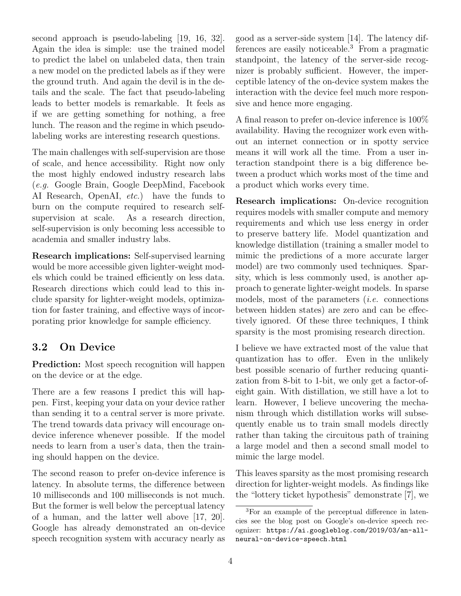second approach is pseudo-labeling [\[19,](#page-8-7) [16,](#page-7-9) [32\]](#page-9-3). Again the idea is simple: use the trained model to predict the label on unlabeled data, then train a new model on the predicted labels as if they were the ground truth. And again the devil is in the details and the scale. The fact that pseudo-labeling leads to better models is remarkable. It feels as if we are getting something for nothing, a free lunch. The reason and the regime in which pseudolabeling works are interesting research questions.

The main challenges with self-supervision are those of scale, and hence accessibility. Right now only the most highly endowed industry research labs (e.g. Google Brain, Google DeepMind, Facebook AI Research, OpenAI, etc.) have the funds to burn on the compute required to research selfsupervision at scale. As a research direction, self-supervision is only becoming less accessible to academia and smaller industry labs.

Research implications: Self-supervised learning would be more accessible given lighter-weight models which could be trained efficiently on less data. Research directions which could lead to this include sparsity for lighter-weight models, optimization for faster training, and effective ways of incorporating prior knowledge for sample efficiency.

## <span id="page-3-1"></span>3.2 On Device

Prediction: Most speech recognition will happen on the device or at the edge.

There are a few reasons I predict this will happen. First, keeping your data on your device rather than sending it to a central server is more private. The trend towards data privacy will encourage ondevice inference whenever possible. If the model needs to learn from a user's data, then the training should happen on the device.

The second reason to prefer on-device inference is latency. In absolute terms, the difference between 10 milliseconds and 100 milliseconds is not much. But the former is well below the perceptual latency of a human, and the latter well above [\[17,](#page-8-8) [20\]](#page-8-9). Google has already demonstrated an on-device speech recognition system with accuracy nearly as

good as a server-side system [\[14\]](#page-7-4). The latency dif-ferences are easily noticeable.<sup>[3](#page-3-0)</sup> From a pragmatic standpoint, the latency of the server-side recognizer is probably sufficient. However, the imperceptible latency of the on-device system makes the interaction with the device feel much more responsive and hence more engaging.

A final reason to prefer on-device inference is 100% availability. Having the recognizer work even without an internet connection or in spotty service means it will work all the time. From a user interaction standpoint there is a big difference between a product which works most of the time and a product which works every time.

Research implications: On-device recognition requires models with smaller compute and memory requirements and which use less energy in order to preserve battery life. Model quantization and knowledge distillation (training a smaller model to mimic the predictions of a more accurate larger model) are two commonly used techniques. Sparsity, which is less commonly used, is another approach to generate lighter-weight models. In sparse models, most of the parameters (i.e. connections between hidden states) are zero and can be effectively ignored. Of these three techniques, I think sparsity is the most promising research direction.

I believe we have extracted most of the value that quantization has to offer. Even in the unlikely best possible scenario of further reducing quantization from 8-bit to 1-bit, we only get a factor-ofeight gain. With distillation, we still have a lot to learn. However, I believe uncovering the mechanism through which distillation works will subsequently enable us to train small models directly rather than taking the circuitous path of training a large model and then a second small model to mimic the large model.

This leaves sparsity as the most promising research direction for lighter-weight models. As findings like the "lottery ticket hypothesis" demonstrate [\[7\]](#page-7-10), we

<span id="page-3-0"></span><sup>3</sup>For an example of the perceptual difference in latencies see the blog post on Google's on-device speech recognizer: [https://ai.googleblog.com/2019/03/an-all](https://ai.googleblog.com/2019/03/an-all-neural-on-device-speech.html)[neural-on-device-speech.html](https://ai.googleblog.com/2019/03/an-all-neural-on-device-speech.html)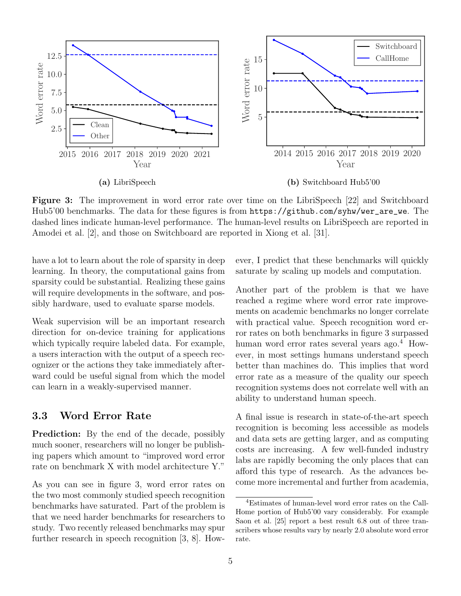<span id="page-4-0"></span>

Figure 3: The improvement in word error rate over time on the LibriSpeech [\[22\]](#page-8-1) and Switchboard Hub5'00 benchmarks. The data for these figures is from [https://github.com/syhw/wer\\_are\\_we](https://github.com/syhw/wer_are_we). The dashed lines indicate human-level performance. The human-level results on LibriSpeech are reported in Amodei et al. [\[2\]](#page-6-0), and those on Switchboard are reported in Xiong et al. [\[31\]](#page-8-10).

have a lot to learn about the role of sparsity in deep learning. In theory, the computational gains from sparsity could be substantial. Realizing these gains will require developments in the software, and possibly hardware, used to evaluate sparse models.

Weak supervision will be an important research direction for on-device training for applications which typically require labeled data. For example, a users interaction with the output of a speech recognizer or the actions they take immediately afterward could be useful signal from which the model can learn in a weakly-supervised manner.

#### 3.3 Word Error Rate

Prediction: By the end of the decade, possibly much sooner, researchers will no longer be publishing papers which amount to "improved word error rate on benchmark X with model architecture Y."

As you can see in figure [3,](#page-4-0) word error rates on the two most commonly studied speech recognition benchmarks have saturated. Part of the problem is that we need harder benchmarks for researchers to study. Two recently released benchmarks may spur further research in speech recognition [\[3,](#page-7-11) [8\]](#page-7-12). However, I predict that these benchmarks will quickly saturate by scaling up models and computation.

Another part of the problem is that we have reached a regime where word error rate improvements on academic benchmarks no longer correlate with practical value. Speech recognition word error rates on both benchmarks in figure [3](#page-4-0) surpassed human word error rates several years ago.<sup>[4](#page-4-1)</sup> However, in most settings humans understand speech better than machines do. This implies that word error rate as a measure of the quality our speech recognition systems does not correlate well with an ability to understand human speech.

A final issue is research in state-of-the-art speech recognition is becoming less accessible as models and data sets are getting larger, and as computing costs are increasing. A few well-funded industry labs are rapidly becoming the only places that can afford this type of research. As the advances become more incremental and further from academia,

<span id="page-4-1"></span><sup>4</sup>Estimates of human-level word error rates on the Call-Home portion of Hub5'00 vary considerably. For example Saon et al. [\[25\]](#page-8-11) report a best result 6.8 out of three transcribers whose results vary by nearly 2.0 absolute word error rate.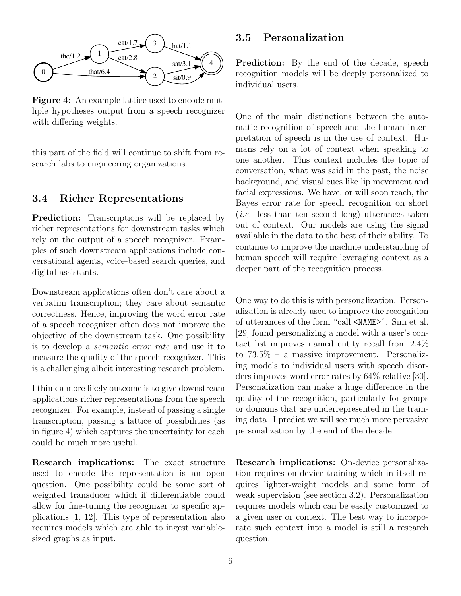<span id="page-5-0"></span>

Figure 4: An example lattice used to encode mutliple hypotheses output from a speech recognizer with differing weights.

this part of the field will continue to shift from research labs to engineering organizations.

#### 3.4 Richer Representations

**Prediction:** Transcriptions will be replaced by richer representations for downstream tasks which rely on the output of a speech recognizer. Examples of such downstream applications include conversational agents, voice-based search queries, and digital assistants.

Downstream applications often don't care about a verbatim transcription; they care about semantic correctness. Hence, improving the word error rate of a speech recognizer often does not improve the objective of the downstream task. One possibility is to develop a semantic error rate and use it to measure the quality of the speech recognizer. This is a challenging albeit interesting research problem.

I think a more likely outcome is to give downstream applications richer representations from the speech recognizer. For example, instead of passing a single transcription, passing a lattice of possibilities (as in figure [4\)](#page-5-0) which captures the uncertainty for each could be much more useful.

Research implications: The exact structure used to encode the representation is an open question. One possibility could be some sort of weighted transducer which if differentiable could allow for fine-tuning the recognizer to specific applications [\[1,](#page-6-1) [12\]](#page-7-13). This type of representation also requires models which are able to ingest variablesized graphs as input.

#### 3.5 Personalization

Prediction: By the end of the decade, speech recognition models will be deeply personalized to individual users.

One of the main distinctions between the automatic recognition of speech and the human interpretation of speech is in the use of context. Humans rely on a lot of context when speaking to one another. This context includes the topic of conversation, what was said in the past, the noise background, and visual cues like lip movement and facial expressions. We have, or will soon reach, the Bayes error rate for speech recognition on short (i.e. less than ten second long) utterances taken out of context. Our models are using the signal available in the data to the best of their ability. To continue to improve the machine understanding of human speech will require leveraging context as a deeper part of the recognition process.

One way to do this is with personalization. Personalization is already used to improve the recognition of utterances of the form "call <NAME>". Sim et al. [\[29\]](#page-8-12) found personalizing a model with a user's contact list improves named entity recall from 2.4% to  $73.5\%$  – a massive improvement. Personalizing models to individual users with speech disorders improves word error rates by 64% relative [\[30\]](#page-8-13). Personalization can make a huge difference in the quality of the recognition, particularly for groups or domains that are underrepresented in the training data. I predict we will see much more pervasive personalization by the end of the decade.

Research implications: On-device personalization requires on-device training which in itself requires lighter-weight models and some form of weak supervision (see section [3.2\)](#page-3-1). Personalization requires models which can be easily customized to a given user or context. The best way to incorporate such context into a model is still a research question.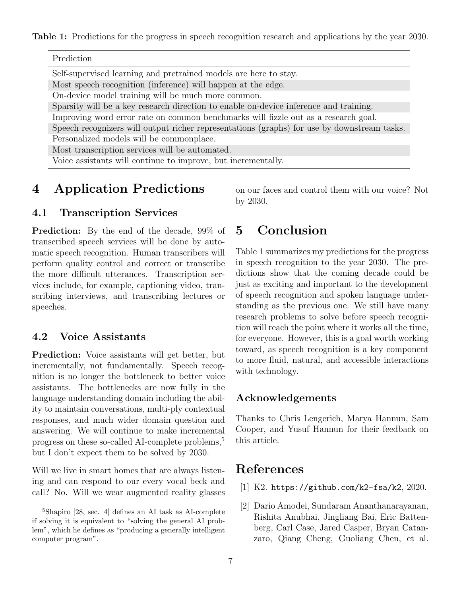<span id="page-6-3"></span>Table 1: Predictions for the progress in speech recognition research and applications by the year 2030.

| Prediction |  |
|------------|--|
|            |  |

Self-supervised learning and pretrained models are here to stay.

Most speech recognition (inference) will happen at the edge.

On-device model training will be much more common.

Sparsity will be a key research direction to enable on-device inference and training.

Improving word error rate on common benchmarks will fizzle out as a research goal.

Speech recognizers will output richer representations (graphs) for use by downstream tasks. Personalized models will be commonplace.

Most transcription services will be automated.

Voice assistants will continue to improve, but incrementally.

# 4 Application Predictions

### 4.1 Transcription Services

Prediction: By the end of the decade, 99% of transcribed speech services will be done by automatic speech recognition. Human transcribers will perform quality control and correct or transcribe the more difficult utterances. Transcription services include, for example, captioning video, transcribing interviews, and transcribing lectures or speeches.

### 4.2 Voice Assistants

Prediction: Voice assistants will get better, but incrementally, not fundamentally. Speech recognition is no longer the bottleneck to better voice assistants. The bottlenecks are now fully in the language understanding domain including the ability to maintain conversations, multi-ply contextual responses, and much wider domain question and answering. We will continue to make incremental progress on these so-called AI-complete problems,<sup>[5](#page-6-2)</sup> but I don't expect them to be solved by 2030.

Will we live in smart homes that are always listening and can respond to our every vocal beck and call? No. Will we wear augmented reality glasses on our faces and control them with our voice? Not by 2030.

# 5 Conclusion

Table [1](#page-6-3) summarizes my predictions for the progress in speech recognition to the year 2030. The predictions show that the coming decade could be just as exciting and important to the development of speech recognition and spoken language understanding as the previous one. We still have many research problems to solve before speech recognition will reach the point where it works all the time, for everyone. However, this is a goal worth working toward, as speech recognition is a key component to more fluid, natural, and accessible interactions with technology.

### Acknowledgements

Thanks to Chris Lengerich, Marya Hannun, Sam Cooper, and Yusuf Hannun for their feedback on this article.

# References

- <span id="page-6-1"></span>[1] K2. <https://github.com/k2-fsa/k2>, 2020.
- <span id="page-6-0"></span>[2] Dario Amodei, Sundaram Ananthanarayanan, Rishita Anubhai, Jingliang Bai, Eric Battenberg, Carl Case, Jared Casper, Bryan Catanzaro, Qiang Cheng, Guoliang Chen, et al.

<span id="page-6-2"></span> $5$ Shapiro  $[28, \text{ sec. } 4]$  $[28, \text{ sec. } 4]$  defines an AI task as AI-complete if solving it is equivalent to "solving the general AI problem", which he defines as "producing a generally intelligent computer program".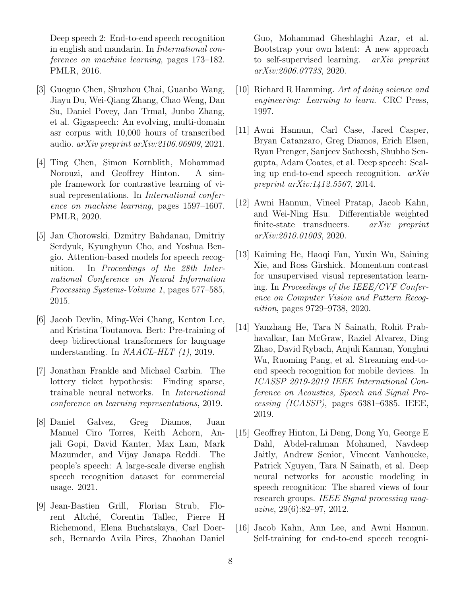Deep speech 2: End-to-end speech recognition in english and mandarin. In International conference on machine learning, pages 173–182. PMLR, 2016.

- <span id="page-7-11"></span>[3] Guoguo Chen, Shuzhou Chai, Guanbo Wang, Jiayu Du, Wei-Qiang Zhang, Chao Weng, Dan Su, Daniel Povey, Jan Trmal, Junbo Zhang, et al. Gigaspeech: An evolving, multi-domain asr corpus with 10,000 hours of transcribed audio.  $arXiv$  preprint  $arXiv:2106.06909, 2021$ .
- <span id="page-7-7"></span>[4] Ting Chen, Simon Kornblith, Mohammad Norouzi, and Geoffrey Hinton. A simple framework for contrastive learning of visual representations. In International conference on machine learning, pages 1597–1607. PMLR, 2020.
- <span id="page-7-3"></span>[5] Jan Chorowski, Dzmitry Bahdanau, Dmitriy Serdyuk, Kyunghyun Cho, and Yoshua Bengio. Attention-based models for speech recognition. In Proceedings of the 28th International Conference on Neural Information Processing Systems-Volume 1, pages 577–585, 2015.
- <span id="page-7-5"></span>[6] Jacob Devlin, Ming-Wei Chang, Kenton Lee, and Kristina Toutanova. Bert: Pre-training of deep bidirectional transformers for language understanding. In NAACL-HLT (1), 2019.
- <span id="page-7-10"></span>[7] Jonathan Frankle and Michael Carbin. The lottery ticket hypothesis: Finding sparse, trainable neural networks. In International conference on learning representations, 2019.
- <span id="page-7-12"></span>[8] Daniel Galvez, Greg Diamos, Juan Manuel Ciro Torres, Keith Achorn, Anjali Gopi, David Kanter, Max Lam, Mark Mazumder, and Vijay Janapa Reddi. The people's speech: A large-scale diverse english speech recognition dataset for commercial usage. 2021.
- <span id="page-7-8"></span>[9] Jean-Bastien Grill, Florian Strub, Florent Altch´e, Corentin Tallec, Pierre H Richemond, Elena Buchatskaya, Carl Doersch, Bernardo Avila Pires, Zhaohan Daniel

Guo, Mohammad Gheshlaghi Azar, et al. Bootstrap your own latent: A new approach to self-supervised learning. arXiv preprint arXiv:2006.07733, 2020.

- <span id="page-7-0"></span>[10] Richard R Hamming. Art of doing science and engineering: Learning to learn. CRC Press, 1997.
- <span id="page-7-2"></span>[11] Awni Hannun, Carl Case, Jared Casper, Bryan Catanzaro, Greg Diamos, Erich Elsen, Ryan Prenger, Sanjeev Satheesh, Shubho Sengupta, Adam Coates, et al. Deep speech: Scaling up end-to-end speech recognition. arXiv preprint arXiv:1412.5567, 2014.
- <span id="page-7-13"></span>[12] Awni Hannun, Vineel Pratap, Jacob Kahn, and Wei-Ning Hsu. Differentiable weighted finite-state transducers. arXiv preprint arXiv:2010.01003, 2020.
- <span id="page-7-6"></span>[13] Kaiming He, Haoqi Fan, Yuxin Wu, Saining Xie, and Ross Girshick. Momentum contrast for unsupervised visual representation learning. In Proceedings of the IEEE/CVF Conference on Computer Vision and Pattern Recognition, pages 9729–9738, 2020.
- <span id="page-7-4"></span>[14] Yanzhang He, Tara N Sainath, Rohit Prabhavalkar, Ian McGraw, Raziel Alvarez, Ding Zhao, David Rybach, Anjuli Kannan, Yonghui Wu, Ruoming Pang, et al. Streaming end-toend speech recognition for mobile devices. In ICASSP 2019-2019 IEEE International Conference on Acoustics, Speech and Signal Processing (ICASSP), pages 6381–6385. IEEE, 2019.
- <span id="page-7-1"></span>[15] Geoffrey Hinton, Li Deng, Dong Yu, George E Dahl, Abdel-rahman Mohamed, Navdeep Jaitly, Andrew Senior, Vincent Vanhoucke, Patrick Nguyen, Tara N Sainath, et al. Deep neural networks for acoustic modeling in speech recognition: The shared views of four research groups. IEEE Signal processing mag- $\alpha$ *zine*, 29(6):82–97, 2012.
- <span id="page-7-9"></span>[16] Jacob Kahn, Ann Lee, and Awni Hannun. Self-training for end-to-end speech recogni-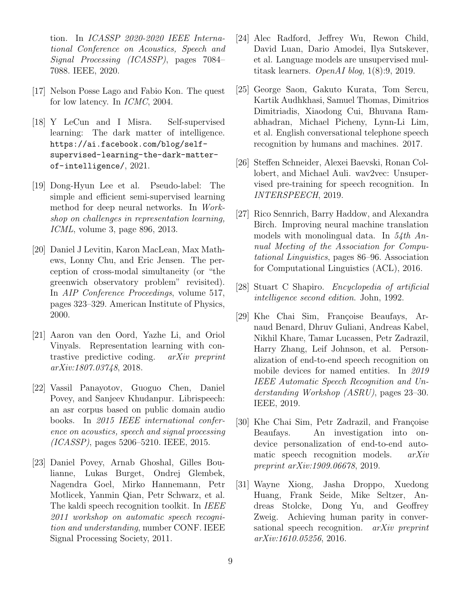tion. In ICASSP 2020-2020 IEEE International Conference on Acoustics, Speech and Signal Processing (ICASSP), pages 7084– 7088. IEEE, 2020.

- <span id="page-8-8"></span>[17] Nelson Posse Lago and Fabio Kon. The quest for low latency. In ICMC, 2004.
- <span id="page-8-2"></span>[18] Y LeCun and I Misra. Self-supervised learning: The dark matter of intelligence. [https://ai.facebook.com/blog/self](https://ai.facebook.com/blog/self-supervised-learning-the-dark-matter-of-intelligence/)[supervised-learning-the-dark-matter](https://ai.facebook.com/blog/self-supervised-learning-the-dark-matter-of-intelligence/)[of-intelligence/](https://ai.facebook.com/blog/self-supervised-learning-the-dark-matter-of-intelligence/), 2021.
- <span id="page-8-7"></span>[19] Dong-Hyun Lee et al. Pseudo-label: The simple and efficient semi-supervised learning method for deep neural networks. In Workshop on challenges in representation learning, ICML, volume 3, page 896, 2013.
- <span id="page-8-9"></span>[20] Daniel J Levitin, Karon MacLean, Max Mathews, Lonny Chu, and Eric Jensen. The perception of cross-modal simultaneity (or "the greenwich observatory problem" revisited). In AIP Conference Proceedings, volume 517, pages 323–329. American Institute of Physics, 2000.
- <span id="page-8-6"></span>[21] Aaron van den Oord, Yazhe Li, and Oriol Vinyals. Representation learning with contrastive predictive coding. arXiv preprint arXiv:1807.03748, 2018.
- <span id="page-8-1"></span>[22] Vassil Panayotov, Guoguo Chen, Daniel Povey, and Sanjeev Khudanpur. Librispeech: an asr corpus based on public domain audio books. In 2015 IEEE international conference on acoustics, speech and signal processing (ICASSP), pages 5206–5210. IEEE, 2015.
- <span id="page-8-0"></span>[23] Daniel Povey, Arnab Ghoshal, Gilles Boulianne, Lukas Burget, Ondrej Glembek, Nagendra Goel, Mirko Hannemann, Petr Motlicek, Yanmin Qian, Petr Schwarz, et al. The kaldi speech recognition toolkit. In IEEE 2011 workshop on automatic speech recognition and understanding, number CONF. IEEE Signal Processing Society, 2011.
- <span id="page-8-3"></span>[24] Alec Radford, Jeffrey Wu, Rewon Child, David Luan, Dario Amodei, Ilya Sutskever, et al. Language models are unsupervised multitask learners. OpenAI blog, 1(8):9, 2019.
- <span id="page-8-11"></span>[25] George Saon, Gakuto Kurata, Tom Sercu, Kartik Audhkhasi, Samuel Thomas, Dimitrios Dimitriadis, Xiaodong Cui, Bhuvana Ramabhadran, Michael Picheny, Lynn-Li Lim, et al. English conversational telephone speech recognition by humans and machines. 2017.
- <span id="page-8-5"></span>[26] Steffen Schneider, Alexei Baevski, Ronan Collobert, and Michael Auli. wav2vec: Unsupervised pre-training for speech recognition. In INTERSPEECH, 2019.
- <span id="page-8-4"></span>[27] Rico Sennrich, Barry Haddow, and Alexandra Birch. Improving neural machine translation models with monolingual data. In 54th Annual Meeting of the Association for Computational Linguistics, pages 86–96. Association for Computational Linguistics (ACL), 2016.
- <span id="page-8-14"></span>[28] Stuart C Shapiro. *Encyclopedia of artificial* intelligence second edition. John, 1992.
- <span id="page-8-12"></span>[29] Khe Chai Sim, Françoise Beaufays, Arnaud Benard, Dhruv Guliani, Andreas Kabel, Nikhil Khare, Tamar Lucassen, Petr Zadrazil, Harry Zhang, Leif Johnson, et al. Personalization of end-to-end speech recognition on mobile devices for named entities. In 2019 IEEE Automatic Speech Recognition and Understanding Workshop (ASRU), pages 23–30. IEEE, 2019.
- <span id="page-8-13"></span>[30] Khe Chai Sim, Petr Zadrazil, and Françoise Beaufays. An investigation into ondevice personalization of end-to-end automatic speech recognition models. arXiv preprint arXiv:1909.06678, 2019.
- <span id="page-8-10"></span>[31] Wayne Xiong, Jasha Droppo, Xuedong Huang, Frank Seide, Mike Seltzer, Andreas Stolcke, Dong Yu, and Geoffrey Zweig. Achieving human parity in conversational speech recognition. *arXiv preprint* arXiv:1610.05256, 2016.